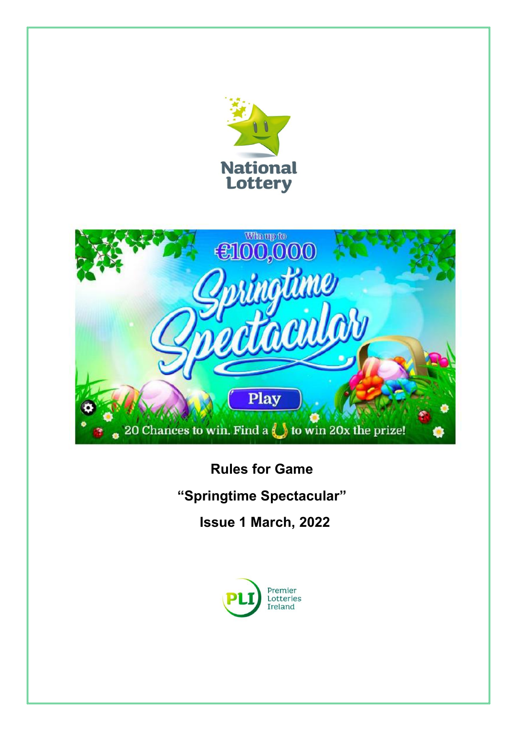



**Rules for Game "Springtime Spectacular"**

**Issue 1 March, 2022**

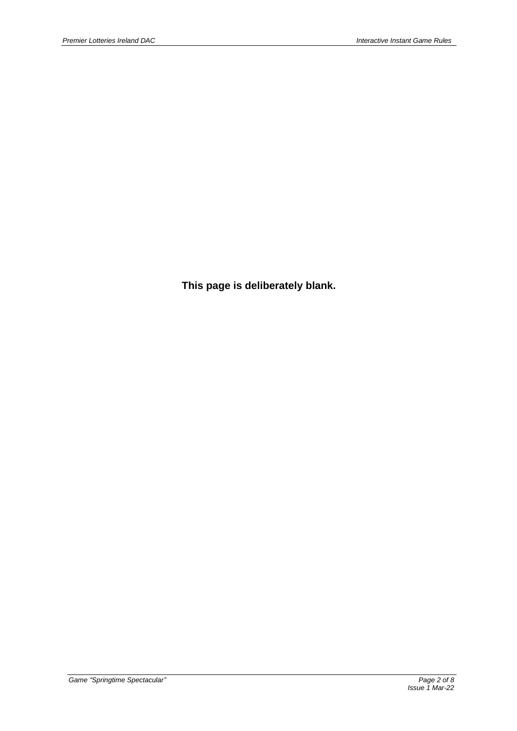**This page is deliberately blank.**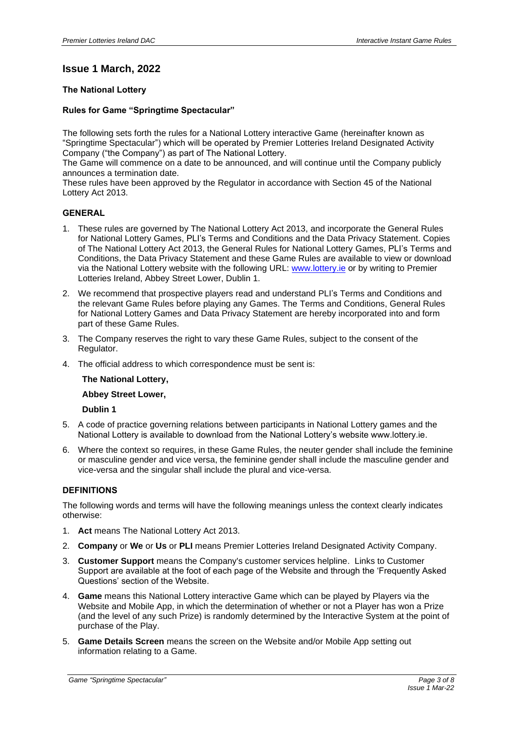# **Issue 1 March, 2022**

### **The National Lottery**

#### **Rules for Game "Springtime Spectacular"**

The following sets forth the rules for a National Lottery interactive Game (hereinafter known as "Springtime Spectacular") which will be operated by Premier Lotteries Ireland Designated Activity Company ("the Company") as part of The National Lottery.

The Game will commence on a date to be announced, and will continue until the Company publicly announces a termination date.

These rules have been approved by the Regulator in accordance with Section 45 of the National Lottery Act 2013.

#### **GENERAL**

- 1. These rules are governed by The National Lottery Act 2013, and incorporate the General Rules for National Lottery Games, PLI's Terms and Conditions and the Data Privacy Statement. Copies of The National Lottery Act 2013, the General Rules for National Lottery Games, PLI's Terms and Conditions, the Data Privacy Statement and these Game Rules are available to view or download via the National Lottery website with the following URL: [www.lottery.ie](http://www.lotto.ie/) or by writing to Premier Lotteries Ireland, Abbey Street Lower, Dublin 1.
- 2. We recommend that prospective players read and understand PLI's Terms and Conditions and the relevant Game Rules before playing any Games. The Terms and Conditions, General Rules for National Lottery Games and Data Privacy Statement are hereby incorporated into and form part of these Game Rules.
- 3. The Company reserves the right to vary these Game Rules, subject to the consent of the Regulator.
- 4. The official address to which correspondence must be sent is:

### **The National Lottery,**

### **Abbey Street Lower,**

**Dublin 1**

- 5. A code of practice governing relations between participants in National Lottery games and the National Lottery is available to download from the National Lottery's website www.lottery.ie.
- 6. Where the context so requires, in these Game Rules, the neuter gender shall include the feminine or masculine gender and vice versa, the feminine gender shall include the masculine gender and vice-versa and the singular shall include the plural and vice-versa.

## **DEFINITIONS**

The following words and terms will have the following meanings unless the context clearly indicates otherwise:

- 1. **Act** means The National Lottery Act 2013.
- 2. **Company** or **We** or **Us** or **PLI** means Premier Lotteries Ireland Designated Activity Company.
- 3. **Customer Support** means the Company's customer services helpline. Links to Customer Support are available at the foot of each page of the Website and through the 'Frequently Asked Questions' section of the Website.
- 4. **Game** means this National Lottery interactive Game which can be played by Players via the Website and Mobile App, in which the determination of whether or not a Player has won a Prize (and the level of any such Prize) is randomly determined by the Interactive System at the point of purchase of the Play.
- 5. **Game Details Screen** means the screen on the Website and/or Mobile App setting out information relating to a Game.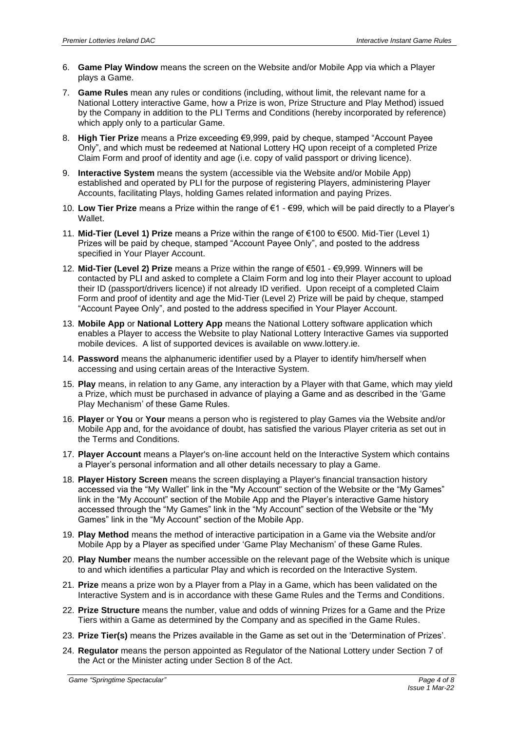- 6. **Game Play Window** means the screen on the Website and/or Mobile App via which a Player plays a Game.
- 7. **Game Rules** mean any rules or conditions (including, without limit, the relevant name for a National Lottery interactive Game, how a Prize is won, Prize Structure and Play Method) issued by the Company in addition to the PLI Terms and Conditions (hereby incorporated by reference) which apply only to a particular Game.
- 8. **High Tier Prize** means a Prize exceeding €9,999, paid by cheque, stamped "Account Payee Only", and which must be redeemed at National Lottery HQ upon receipt of a completed Prize Claim Form and proof of identity and age (i.e. copy of valid passport or driving licence).
- 9. **Interactive System** means the system (accessible via the Website and/or Mobile App) established and operated by PLI for the purpose of registering Players, administering Player Accounts, facilitating Plays, holding Games related information and paying Prizes.
- 10. **Low Tier Prize** means a Prize within the range of €1 €99, which will be paid directly to a Player's Wallet.
- 11. **Mid-Tier (Level 1) Prize** means a Prize within the range of €100 to €500. Mid-Tier (Level 1) Prizes will be paid by cheque, stamped "Account Payee Only", and posted to the address specified in Your Player Account.
- 12. **Mid-Tier (Level 2) Prize** means a Prize within the range of €501 €9,999. Winners will be contacted by PLI and asked to complete a Claim Form and log into their Player account to upload their ID (passport/drivers licence) if not already ID verified. Upon receipt of a completed Claim Form and proof of identity and age the Mid-Tier (Level 2) Prize will be paid by cheque, stamped "Account Payee Only", and posted to the address specified in Your Player Account.
- 13. **Mobile App** or **National Lottery App** means the National Lottery software application which enables a Player to access the Website to play National Lottery Interactive Games via supported mobile devices. A list of supported devices is available on www.lottery.ie.
- 14. **Password** means the alphanumeric identifier used by a Player to identify him/herself when accessing and using certain areas of the Interactive System.
- 15. **Play** means, in relation to any Game, any interaction by a Player with that Game, which may yield a Prize, which must be purchased in advance of playing a Game and as described in the 'Game Play Mechanism' of these Game Rules.
- 16. **Player** or **You** or **Your** means a person who is registered to play Games via the Website and/or Mobile App and, for the avoidance of doubt, has satisfied the various Player criteria as set out in the Terms and Conditions.
- 17. **Player Account** means a Player's on-line account held on the Interactive System which contains a Player's personal information and all other details necessary to play a Game.
- 18. **Player History Screen** means the screen displaying a Player's financial transaction history accessed via the "My Wallet" link in the "My Account" section of the Website or the "My Games" link in the "My Account" section of the Mobile App and the Player's interactive Game history accessed through the "My Games" link in the "My Account" section of the Website or the "My Games" link in the "My Account" section of the Mobile App.
- 19. **Play Method** means the method of interactive participation in a Game via the Website and/or Mobile App by a Player as specified under 'Game Play Mechanism' of these Game Rules.
- 20. **Play Number** means the number accessible on the relevant page of the Website which is unique to and which identifies a particular Play and which is recorded on the Interactive System.
- 21. **Prize** means a prize won by a Player from a Play in a Game, which has been validated on the Interactive System and is in accordance with these Game Rules and the Terms and Conditions.
- 22. **Prize Structure** means the number, value and odds of winning Prizes for a Game and the Prize Tiers within a Game as determined by the Company and as specified in the Game Rules.
- 23. **Prize Tier(s)** means the Prizes available in the Game as set out in the 'Determination of Prizes'.
- 24. **Regulator** means the person appointed as Regulator of the National Lottery under Section 7 of the Act or the Minister acting under Section 8 of the Act.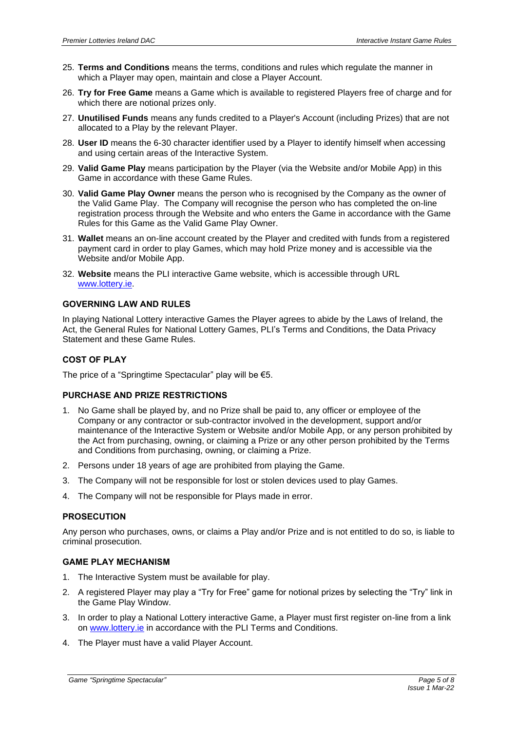- 25. **Terms and Conditions** means the terms, conditions and rules which regulate the manner in which a Player may open, maintain and close a Player Account.
- 26. **Try for Free Game** means a Game which is available to registered Players free of charge and for which there are notional prizes only.
- 27. **Unutilised Funds** means any funds credited to a Player's Account (including Prizes) that are not allocated to a Play by the relevant Player.
- 28. **User ID** means the 6-30 character identifier used by a Player to identify himself when accessing and using certain areas of the Interactive System.
- 29. **Valid Game Play** means participation by the Player (via the Website and/or Mobile App) in this Game in accordance with these Game Rules.
- 30. **Valid Game Play Owner** means the person who is recognised by the Company as the owner of the Valid Game Play. The Company will recognise the person who has completed the on-line registration process through the Website and who enters the Game in accordance with the Game Rules for this Game as the Valid Game Play Owner.
- 31. **Wallet** means an on-line account created by the Player and credited with funds from a registered payment card in order to play Games, which may hold Prize money and is accessible via the Website and/or Mobile App.
- 32. **Website** means the PLI interactive Game website, which is accessible through URL www.lottery.ie.

## **GOVERNING LAW AND RULES**

In playing National Lottery interactive Games the Player agrees to abide by the Laws of Ireland, the Act, the General Rules for National Lottery Games, PLI's Terms and Conditions, the Data Privacy Statement and these Game Rules.

# **COST OF PLAY**

The price of a "Springtime Spectacular" play will be €5.

### **PURCHASE AND PRIZE RESTRICTIONS**

- 1. No Game shall be played by, and no Prize shall be paid to, any officer or employee of the Company or any contractor or sub-contractor involved in the development, support and/or maintenance of the Interactive System or Website and/or Mobile App, or any person prohibited by the Act from purchasing, owning, or claiming a Prize or any other person prohibited by the Terms and Conditions from purchasing, owning, or claiming a Prize.
- 2. Persons under 18 years of age are prohibited from playing the Game.
- 3. The Company will not be responsible for lost or stolen devices used to play Games.
- 4. The Company will not be responsible for Plays made in error.

### **PROSECUTION**

Any person who purchases, owns, or claims a Play and/or Prize and is not entitled to do so, is liable to criminal prosecution.

#### **GAME PLAY MECHANISM**

- 1. The Interactive System must be available for play.
- 2. A registered Player may play a "Try for Free" game for notional prizes by selecting the "Try" link in the Game Play Window.
- 3. In order to play a National Lottery interactive Game, a Player must first register on-line from a link on [www.lottery.ie](http://www.lotto.ie/) in accordance with the PLI Terms and Conditions.
- 4. The Player must have a valid Player Account.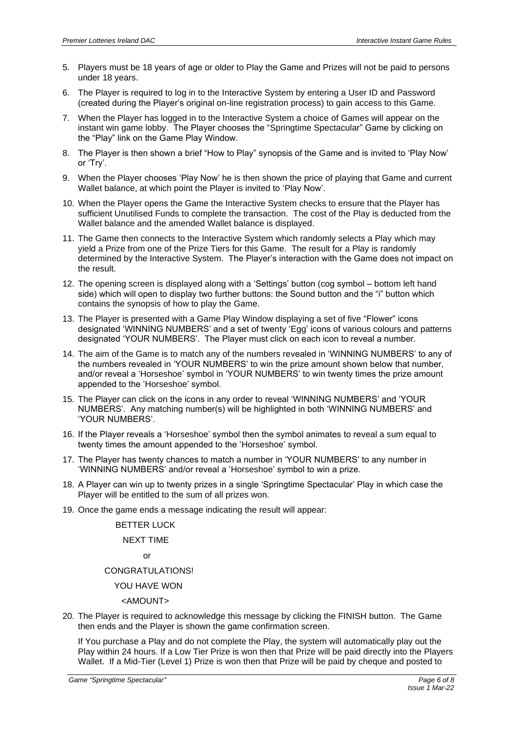- 5. Players must be 18 years of age or older to Play the Game and Prizes will not be paid to persons under 18 years.
- 6. The Player is required to log in to the Interactive System by entering a User ID and Password (created during the Player's original on-line registration process) to gain access to this Game.
- 7. When the Player has logged in to the Interactive System a choice of Games will appear on the instant win game lobby. The Player chooses the "Springtime Spectacular" Game by clicking on the "Play" link on the Game Play Window.
- 8. The Player is then shown a brief "How to Play" synopsis of the Game and is invited to 'Play Now' or 'Try'.
- 9. When the Player chooses 'Play Now' he is then shown the price of playing that Game and current Wallet balance, at which point the Player is invited to 'Play Now'.
- 10. When the Player opens the Game the Interactive System checks to ensure that the Player has sufficient Unutilised Funds to complete the transaction. The cost of the Play is deducted from the Wallet balance and the amended Wallet balance is displayed.
- 11. The Game then connects to the Interactive System which randomly selects a Play which may yield a Prize from one of the Prize Tiers for this Game. The result for a Play is randomly determined by the Interactive System. The Player's interaction with the Game does not impact on the result.
- 12. The opening screen is displayed along with a 'Settings' button (cog symbol bottom left hand side) which will open to display two further buttons: the Sound button and the "i" button which contains the synopsis of how to play the Game.
- 13. The Player is presented with a Game Play Window displaying a set of five "Flower" icons designated 'WINNING NUMBERS' and a set of twenty 'Egg' icons of various colours and patterns designated 'YOUR NUMBERS'. The Player must click on each icon to reveal a number.
- 14. The aim of the Game is to match any of the numbers revealed in 'WINNING NUMBERS' to any of the numbers revealed in 'YOUR NUMBERS' to win the prize amount shown below that number, and/or reveal a 'Horseshoe' symbol in 'YOUR NUMBERS' to win twenty times the prize amount appended to the 'Horseshoe' symbol.
- 15. The Player can click on the icons in any order to reveal 'WINNING NUMBERS' and 'YOUR NUMBERS'. Any matching number(s) will be highlighted in both 'WINNING NUMBERS' and 'YOUR NUMBERS'.
- 16. If the Player reveals a 'Horseshoe' symbol then the symbol animates to reveal a sum equal to twenty times the amount appended to the 'Horseshoe' symbol.
- 17. The Player has twenty chances to match a number in 'YOUR NUMBERS' to any number in 'WINNING NUMBERS' and/or reveal a 'Horseshoe' symbol to win a prize.
- 18. A Player can win up to twenty prizes in a single 'Springtime Spectacular' Play in which case the Player will be entitled to the sum of all prizes won.
- 19. Once the game ends a message indicating the result will appear:

#### BETTER LUCK

NEXT TIME

or and the contract of the contract of the contract of the contract of the contract of the contract of the con

### CONGRATULATIONS!

YOU HAVE WON

#### <AMOUNT>

20. The Player is required to acknowledge this message by clicking the FINISH button. The Game then ends and the Player is shown the game confirmation screen.

If You purchase a Play and do not complete the Play, the system will automatically play out the Play within 24 hours. If a Low Tier Prize is won then that Prize will be paid directly into the Players Wallet. If a Mid-Tier (Level 1) Prize is won then that Prize will be paid by cheque and posted to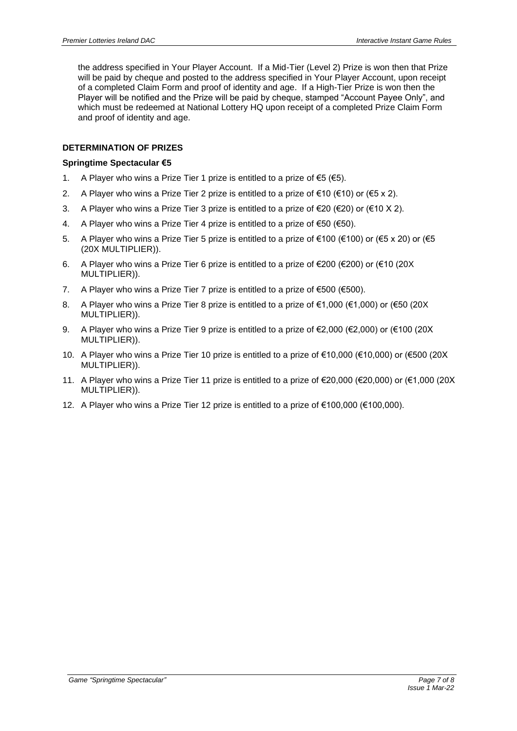the address specified in Your Player Account. If a Mid-Tier (Level 2) Prize is won then that Prize will be paid by cheque and posted to the address specified in Your Player Account, upon receipt of a completed Claim Form and proof of identity and age. If a High-Tier Prize is won then the Player will be notified and the Prize will be paid by cheque, stamped "Account Payee Only", and which must be redeemed at National Lottery HQ upon receipt of a completed Prize Claim Form and proof of identity and age.

# **DETERMINATION OF PRIZES**

#### **Springtime Spectacular €5**

- 1. A Player who wins a Prize Tier 1 prize is entitled to a prize of €5 (€5).
- 2. A Player who wins a Prize Tier 2 prize is entitled to a prize of €10 (€10) or (€5 x 2).
- 3. A Player who wins a Prize Tier 3 prize is entitled to a prize of €20 (€20) or (€10 X 2).
- 4. A Player who wins a Prize Tier 4 prize is entitled to a prize of  $\epsilon$ 50 ( $\epsilon$ 50).
- 5. A Player who wins a Prize Tier 5 prize is entitled to a prize of €100 (€100) or (€5 x 20) or (€5 (20X MULTIPLIER)).
- 6. A Player who wins a Prize Tier 6 prize is entitled to a prize of €200 (€200) or (€10 (20X MULTIPLIER)).
- 7. A Player who wins a Prize Tier 7 prize is entitled to a prize of  $\epsilon$ 500 ( $\epsilon$ 500).
- 8. A Player who wins a Prize Tier 8 prize is entitled to a prize of €1,000 (€1,000) or (€50 (20X MULTIPLIER)).
- 9. A Player who wins a Prize Tier 9 prize is entitled to a prize of €2,000 (€2,000) or (€100 (20X MULTIPLIER)).
- 10. A Player who wins a Prize Tier 10 prize is entitled to a prize of €10,000 (€10,000) or (€500 (20X MULTIPLIER)).
- 11. A Player who wins a Prize Tier 11 prize is entitled to a prize of €20,000 (€20,000) or (€1,000 (20X MULTIPLIER)).
- 12. A Player who wins a Prize Tier 12 prize is entitled to a prize of €100,000 (€100,000).